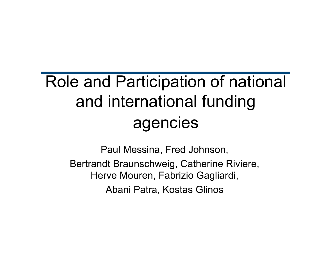#### Role and Participation of national and international funding agencies

Paul Messina, Fred Johnson, Bertrandt Braunschweig, Catherine Riviere, Herve Mouren, Fabrizio Gagliardi, Abani Patra, Kostas Glinos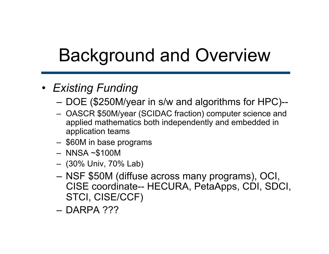# Background and Overview

#### • *Existing Funding*

- DOE (\$250M/year in s/w and algorithms for HPC)--
- OASCR \$50M/year (SCIDAC fraction) computer science and applied mathematics both independently and embedded in application teams
- \$60M in base programs
- NNSA ~\$100M
- (30% Univ, 70% Lab)
- NSF \$50M (diffuse across many programs), OCI, CISE coordinate-- HECURA, PetaApps, CDI, SDCI, STCI, CISE/CCF)
- DARPA ???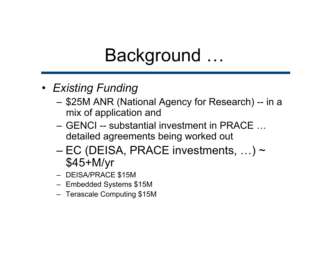- *Existing Funding* 
	- \$25M ANR (National Agency for Research) -- in a mix of application and
	- GENCI -- substantial investment in PRACE … detailed agreements being worked out
	- $-$  EC (DEISA, PRACE investments, ...)  $\sim$ \$45+M/yr
	- DEISA/PRACE \$15M
	- Embedded Systems \$15M
	- Terascale Computing \$15M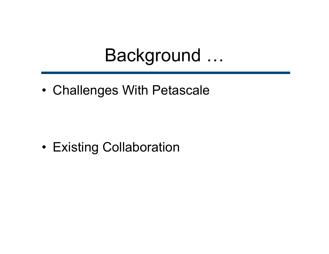• Challenges With Petascale

• Existing Collaboration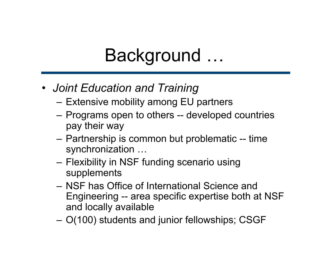- *Joint Education and Training*
	- Extensive mobility among EU partners
	- Programs open to others -- developed countries pay their way
	- Partnership is common but problematic -- time synchronization …
	- Flexibility in NSF funding scenario using supplements
	- NSF has Office of International Science and Engineering -- area specific expertise both at NSF and locally available
	- O(100) students and junior fellowships; CSGF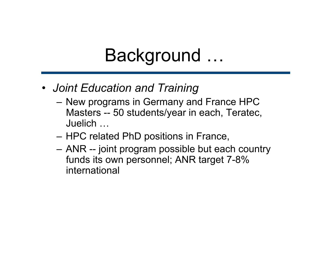- *Joint Education and Training*
	- New programs in Germany and France HPC Masters -- 50 students/year in each, Teratec, Juelich …
	- HPC related PhD positions in France,
	- ANR -- joint program possible but each country funds its own personnel; ANR target 7-8% international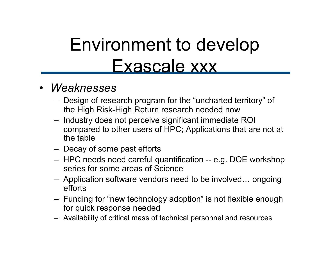## Environment to develop Exascale xxx

#### • *Weaknesses*

- Design of research program for the "uncharted territory" of the High Risk-High Return research needed now
- Industry does not perceive significant immediate ROI compared to other users of HPC; Applications that are not at the table
- Decay of some past efforts
- HPC needs need careful quantification -- e.g. DOE workshop series for some areas of Science
- Application software vendors need to be involved… ongoing efforts
- Funding for "new technology adoption" is not flexible enough for quick response needed
- Availability of critical mass of technical personnel and resources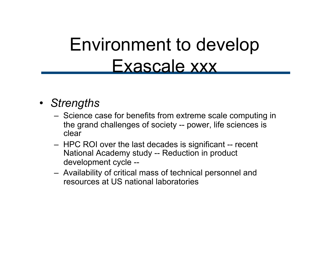### Environment to develop Exascale xxx

#### • *Strengths*

- Science case for benefits from extreme scale computing in the grand challenges of society -- power, life sciences is clear
- HPC ROI over the last decades is significant -- recent National Academy study -- Reduction in product development cycle --
- Availability of critical mass of technical personnel and resources at US national laboratories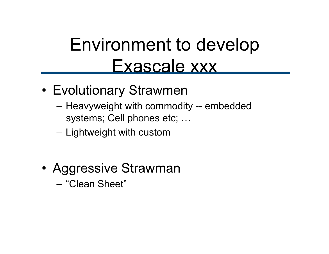#### Environment to develop Exascale xxx

- Evolutionary Strawmen
	- Heavyweight with commodity -- embedded systems; Cell phones etc; …
	- Lightweight with custom
- Aggressive Strawman
	- "Clean Sheet"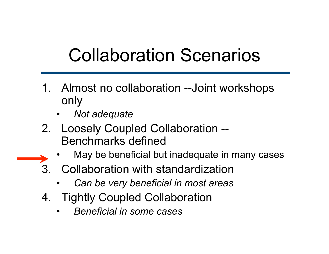# Collaboration Scenarios

- 1. Almost no collaboration --Joint workshops only
	- *Not adequate*
- 2. Loosely Coupled Collaboration -- Benchmarks defined
	- May be beneficial but inadequate in many cases
- 3. Collaboration with standardization
	- *Can be very beneficial in most areas*
- 4. Tightly Coupled Collaboration
	- *Beneficial in some cases*